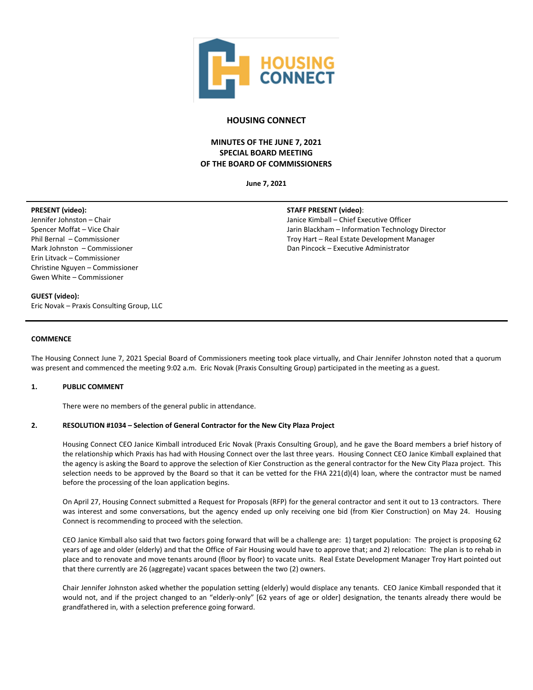

# **HOUSING CONNECT**

# **MINUTES OF THE JUNE 7, 2021 SPECIAL BOARD MEETING OF THE BOARD OF COMMISSIONERS**

**June 7, 2021**

## **PRESENT (video):**

Jennifer Johnston – Chair Spencer Moffat – Vice Chair Phil Bernal – Commissioner Mark Johnston – Commissioner Erin Litvack – Commissioner Christine Nguyen – Commissioner Gwen White – Commissioner

# **STAFF PRESENT (video)**:

Janice Kimball – Chief Executive Officer Jarin Blackham – Information Technology Director Troy Hart – Real Estate Development Manager Dan Pincock – Executive Administrator

## **GUEST (video):**

Eric Novak – Praxis Consulting Group, LLC

#### **COMMENCE**

The Housing Connect June 7, 2021 Special Board of Commissioners meeting took place virtually, and Chair Jennifer Johnston noted that a quorum was present and commenced the meeting 9:02 a.m. Eric Novak (Praxis Consulting Group) participated in the meeting as a guest.

## **1. PUBLIC COMMENT**

There were no members of the general public in attendance.

## **2. RESOLUTION #1034 – Selection of General Contractor for the New City Plaza Project**

Housing Connect CEO Janice Kimball introduced Eric Novak (Praxis Consulting Group), and he gave the Board members a brief history of the relationship which Praxis has had with Housing Connect over the last three years. Housing Connect CEO Janice Kimball explained that the agency is asking the Board to approve the selection of Kier Construction as the general contractor for the New City Plaza project. This selection needs to be approved by the Board so that it can be vetted for the FHA 221(d)(4) loan, where the contractor must be named before the processing of the loan application begins.

On April 27, Housing Connect submitted a Request for Proposals (RFP) for the general contractor and sent it out to 13 contractors. There was interest and some conversations, but the agency ended up only receiving one bid (from Kier Construction) on May 24. Housing Connect is recommending to proceed with the selection.

CEO Janice Kimball also said that two factors going forward that will be a challenge are: 1) target population: The project is proposing 62 years of age and older (elderly) and that the Office of Fair Housing would have to approve that; and 2) relocation: The plan is to rehab in place and to renovate and move tenants around (floor by floor) to vacate units. Real Estate Development Manager Troy Hart pointed out that there currently are 26 (aggregate) vacant spaces between the two (2) owners.

Chair Jennifer Johnston asked whether the population setting (elderly) would displace any tenants. CEO Janice Kimball responded that it would not, and if the project changed to an "elderly-only" [62 years of age or older] designation, the tenants already there would be grandfathered in, with a selection preference going forward.